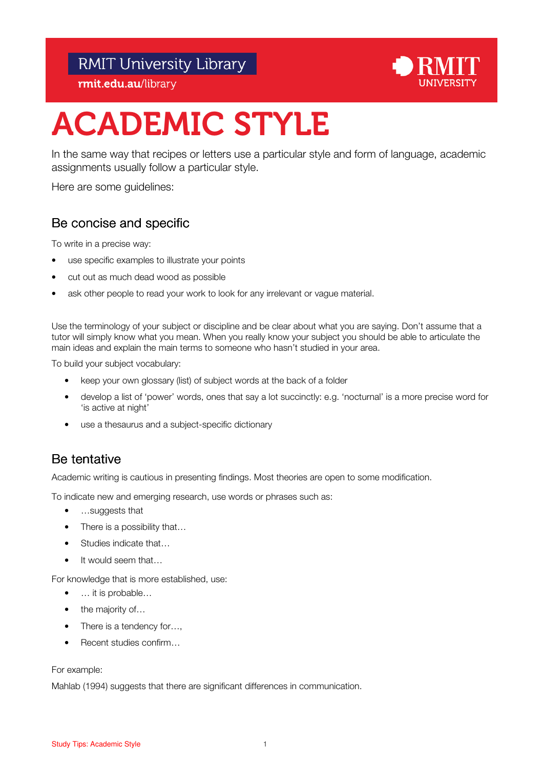### **RMIT University Library**



rmit.edu.au/library

## ACADEMIC STYLE

In the same way that recipes or letters use a particular style and form of language, academic assignments usually follow a particular style.

Here are some guidelines:

#### Be concise and specific Be concise and specific

To write in a precise way:

- use specific examples to illustrate your points
- cut out as much dead wood as possible
- ask other people to read your work to look for any irrelevant or vague material.

 Use the terminology of your subject or discipline and be clear about what you are saying. Don't assume that a tutor will simply know what you mean. When you really know your subject you should be able to articulate the main ideas and explain the main terms to someone who hasn't studied in your area.

To build your subject vocabulary:

- keep your own glossary (list) of subject words at the back of a folder
- • develop a list of 'power' words, ones that say a lot succinctly: e.g. 'nocturnal' is a more precise word for 'is active at night'
- use a thesaurus and a subject-specific dictionary

#### Be tentative Be tentative

Academic writing is cautious in presenting findings. Most theories are open to some modification.

To indicate new and emerging research, use words or phrases such as:

- …suggests that
- There is a possibility that...
- Studies indicate that...
- It would seem that...

For knowledge that is more established, use:

- … it is probable…
- the majority of...
- There is a tendency for...,
- Recent studies confirm…

#### For example:

Mahlab (1994) suggests that there are significant differences in communication.